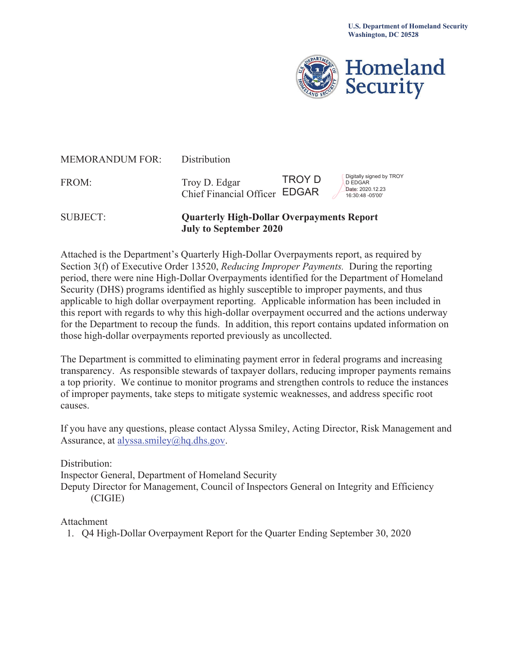

| <b>SUBJECT:</b>        | <b>Quarterly High-Dollar Overpayments Report</b><br><b>July to September 2020</b> |        |                                                                                    |
|------------------------|-----------------------------------------------------------------------------------|--------|------------------------------------------------------------------------------------|
| FROM:                  | Troy D. Edgar<br>Chief Financial Officer EDGAR                                    | TROY D | Digitally signed by TROY<br><b>D EDGAR</b><br>Date: 2020.12.23<br>16:30:48 -05'00' |
| <b>MEMORANDUM FOR:</b> | Distribution                                                                      |        |                                                                                    |

Attached is the Department's Quarterly High-Dollar Overpayments report, as required by Section 3(f) of Executive Order 13520, *Reducing Improper Payments.* During the reporting period, there were nine High-Dollar Overpayments identified for the Department of Homeland Security (DHS) programs identified as highly susceptible to improper payments, and thus applicable to high dollar overpayment reporting. Applicable information has been included in this report with regards to why this high-dollar overpayment occurred and the actions underway for the Department to recoup the funds. In addition, this report contains updated information on those high-dollar overpayments reported previously as uncollected.

The Department is committed to eliminating payment error in federal programs and increasing transparency. As responsible stewards of taxpayer dollars, reducing improper payments remains a top priority. We continue to monitor programs and strengthen controls to reduce the instances of improper payments, take steps to mitigate systemic weaknesses, and address specific root causes.

If you have any questions, please contact Alyssa Smiley, Acting Director, Risk Management and Assurance, at [alyssa.smiley@hq.dhs.gov.](mailto:alyssa.smiley@hq.dhs.gov)

Distribution:

Inspector General, Department of Homeland Security

Deputy Director for Management, Council of Inspectors General on Integrity and Efficiency (CIGIE)

Attachment

1. Q4 High-Dollar Overpayment Report for the Quarter Ending September 30, 2020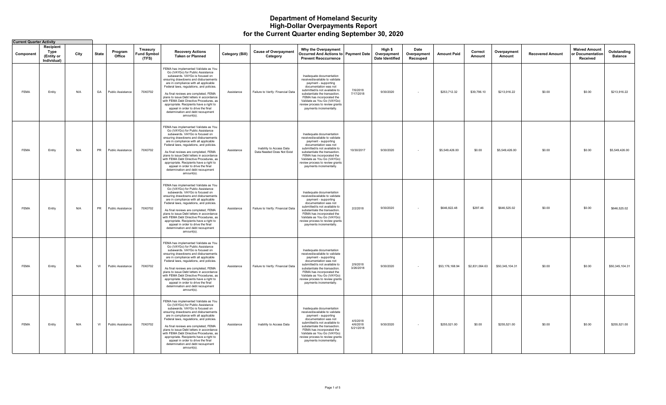#### **Department of Homeland Security High-Dollar Overpayments Report for the Current Quarter ending September 30, 2020**

| <b>Current Quarter Activity</b> |                                                |      |           |                   |                                         |                                                                                                                                                                                                                                                                                                                                                                                                                                                                                                             |                 |                                                        |                                                                                                                                                                                                                                                                                                        |                                   |                                                  |                                 |                    |                   |                       |                         |                                                      |                               |
|---------------------------------|------------------------------------------------|------|-----------|-------------------|-----------------------------------------|-------------------------------------------------------------------------------------------------------------------------------------------------------------------------------------------------------------------------------------------------------------------------------------------------------------------------------------------------------------------------------------------------------------------------------------------------------------------------------------------------------------|-----------------|--------------------------------------------------------|--------------------------------------------------------------------------------------------------------------------------------------------------------------------------------------------------------------------------------------------------------------------------------------------------------|-----------------------------------|--------------------------------------------------|---------------------------------|--------------------|-------------------|-----------------------|-------------------------|------------------------------------------------------|-------------------------------|
| Component                       | Recipient<br>Type<br>(Entity or<br>Individual) | City | State     | Program<br>Office | Treasury<br><b>Fund Symbol</b><br>(TFS) | <b>Recovery Actions</b><br><b>Taken or Planned</b>                                                                                                                                                                                                                                                                                                                                                                                                                                                          | Category (Bill) | <b>Cause of Overpayment</b><br>Category                | Why the Overpayment<br><b>Occurred And Actions to Payment Date</b><br><b>Prevent Reoccurrence</b>                                                                                                                                                                                                      |                                   | High \$<br>Overpayment<br><b>Date Identified</b> | Date<br>Overpayment<br>Recouped | <b>Amount Paid</b> | Correct<br>Amount | Overpayment<br>Amount | <b>Recovered Amount</b> | <b>Waived Amount</b><br>or Documentation<br>Received | Outstanding<br><b>Balance</b> |
| FEMA                            | Entity                                         | N/A  | GA        | Public Assistance | 70X0702                                 | FEMA has implemented Validate as You<br>Go (VAYGo) for Public Assistance<br>subawards. VAYGo is focused on<br>ensuring drawdowns and disbursements<br>are in compliance with all applicable<br>Federal laws, regulations, and policies.<br>As final reviews are completed, FEMA<br>plans to issue Debt letters in accordance<br>with FEMA Debt Directive Procedures, as<br>appropriate. Recipients have a right to<br>appeal in order to drive the final<br>determination and debt recoupment<br>amount(s). | Assistance      | Failure to Verify: Financial Data                      | Inadequate documentation<br>received/available to validate<br>payment - supporting<br>documentation was not<br>submitted/is not available to<br>substantiate the transaction.<br>FEMA has incorporated the<br>Validate as You Go (VAYGo)<br>review process to review grants<br>payments incrementally. | 7/6/2018<br>7/17/2018             | 9/30/2020                                        | $\sim$                          | \$253,712.32       | \$39,796.10       | \$213,916.22          | \$0.00                  | \$0.00                                               | \$213,916.22                  |
| <b>FEMA</b>                     | Entity                                         | N/A  | PR        | Public Assistance | 70X0702                                 | FEMA has implemented Validate as You<br>Go (VAYGo) for Public Assistance<br>subawards. VAYGo is focused on<br>ensuring drawdowns and disbursements<br>are in compliance with all applicable<br>Federal laws, regulations, and policies.<br>As final reviews are completed, FEMA<br>plans to issue Debt letters in accordance<br>with FEMA Debt Directive Procedures, as<br>appropriate. Recipients have a right to<br>appeal in order to drive the final<br>determination and debt recoupment<br>amount(s). | Assistance      | Inability to Access Data<br>Data Needed Does Not Exist | Inadequate documentation<br>received/available to validate<br>payment - supporting<br>documentation was not<br>submitted/is not available to<br>substantiate the transaction.<br>FEMA has incorporated the<br>Validate as You Go (VAYGo)<br>review process to review grants<br>payments incrementally. | 10/30/2017                        | 9/30/2020                                        |                                 | \$5,549,426.00     | \$0.00            | \$5,549,426.00        | \$0.00                  | \$0.00                                               | \$5,549,426.00                |
| <b>FEMA</b>                     | Entity                                         | N/A  | <b>PR</b> | Public Assistance | 70X0702                                 | FEMA has implemented Validate as You<br>Go (VAYGo) for Public Assistance<br>subawards. VAYGo is focused on<br>ensuring drawdowns and disbursements<br>are in compliance with all applicable<br>Federal laws, regulations, and policies.<br>As final reviews are completed, FEMA<br>plans to issue Debt letters in accordance<br>with FEMA Debt Directive Procedures, as<br>appropriate. Recipients have a right to<br>appeal in order to drive the final<br>determination and debt recoupment<br>amount(s). | Assistance      | Failure to Verify: Financial Data                      | Inadequate documentation<br>received/available to validate<br>payment - supporting<br>documentation was not<br>submitted/is not available to<br>substantiate the transaction.<br>FEMA has incorporated the<br>Validate as You Go (VAYGo)<br>review process to review grants<br>payments incrementally. | 2/2/2018                          | 9/30/2020                                        | $\sim$                          | \$646,822.48       | \$297.46          | \$646,525.02          | \$0.00                  | \$0.00                                               | \$646,525.02                  |
| FEMA                            | Entity                                         | N/A  | VI        | Public Assistance | 70X0702                                 | FEMA has implemented Validate as You<br>Go (VAYGo) for Public Assistance<br>subawards. VAYGo is focused on<br>ensuring drawdowns and disbursements<br>are in compliance with all applicable<br>Federal laws, regulations, and policies.<br>As final reviews are completed, FEMA<br>plans to issue Debt letters in accordance<br>with FEMA Debt Directive Procedures, as<br>appropriate. Recipients have a right to<br>appeal in order to drive the final<br>determination and debt recoupment<br>amount(s). | Assistance      | Failure to Verify: Financial Data                      | Inadequate documentation<br>received/available to validate<br>payment - supporting<br>documentation was not<br>submitted/is not available to<br>substantiate the transaction.<br>FEMA has incorporated the<br>Validate as You Go (VAYGo)<br>review process to review grants<br>payments incrementally. | 2/9/2018<br>3/26/2018             | 9/30/2020                                        | $\sim$                          | \$53,176,168.94    | \$2,831,064.63    | \$50,345,104.31       | \$0.00                  | \$0.00                                               | \$50,345,104.31               |
| <b>FEMA</b>                     | Entity                                         | N/A  | VI        | Public Assistance | 70X0702                                 | FEMA has implemented Validate as You<br>Go (VAYGo) for Public Assistance<br>subawards. VAYGo is focused on<br>ensuring drawdowns and disbursements<br>are in compliance with all applicable<br>Federal laws, regulations, and policies.<br>As final reviews are completed, FEMA<br>plans to issue Debt letters in accordance<br>with FEMA Debt Directive Procedures, as<br>appropriate. Recipients have a right to<br>appeal in order to drive the final<br>determination and debt recoupment<br>amount(s). | Assistance      | Inability to Access Data                               | Inadequate documentation<br>received/available to validate<br>payment - supporting<br>documentation was not<br>submitted/is not available to<br>substantiate the transaction<br>FEMA has incorporated the<br>Validate as You Go (VAYGo)<br>review process to review grants<br>payments incrementally.  | 4/5/2018<br>4/6/2018<br>5/21/2018 | 9/30/2020                                        | $\sim$                          | \$255,521.00       | \$0.00            | \$255,521.00          | \$0.00                  | \$0.00                                               | \$255,521.00                  |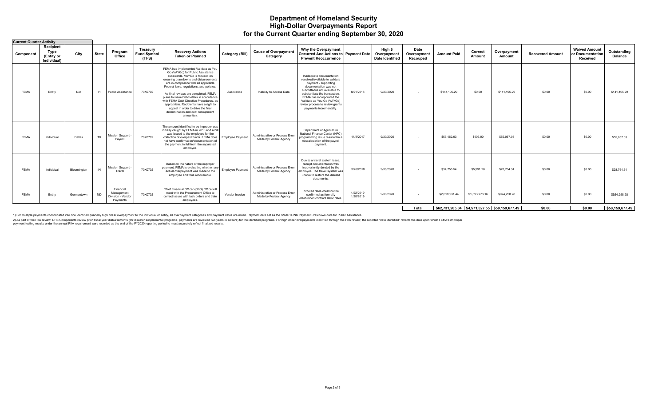### **Department of Homeland Security High-Dollar Overpayments Report for the Current Quarter ending September 30, 2020**

| Recipient<br>High \$<br>Date<br><b>Waived Amount</b><br>Why the Overpayment<br>Treasury<br><b>Cause of Overpayment</b><br>Outstanding<br><b>Recovery Actions</b><br>Correct<br>Type<br>Program<br>Overpayment<br><b>Category (Bill)</b><br><b>State</b><br><b>Amount Paid</b><br>or Documentation<br>City<br><b>Fund Symbol</b><br>Occurred And Actions to Payment Date<br>Component<br><b>Recovered Amount</b><br>Overpayment<br>Overpayment<br>Office<br><b>Taken or Planned</b><br>(Entity or<br>Category<br><b>Balance</b><br>Amount<br>Amount<br><b>Date Identified</b><br>(TFS)<br><b>Prevent Reoccurrence</b><br>Received<br>Recouped<br>Individual)<br>FEMA has implemented Validate as You<br>Go (VAYGo) for Public Assistance<br>subawards. VAYGo is focused on<br>Inadequate documentation<br>received/available to validate<br>ensuring drawdowns and disbursements<br>are in compliance with all applicable<br>payment - supporting<br>Federal laws, regulations, and policies.<br>documentation was not<br>submitted/is not available to<br>9/30/2020<br>\$141,105.29<br>\$0.00<br>\$141,105.29<br>\$0.00<br>\$0.00<br><b>FEMA</b><br>VI<br>8/21/2018<br>\$141,105.29<br>N/A<br>70X0702<br><b>Public Assistance</b><br>Inability to Access Data<br>Entity<br>Assistance<br>$\sim$<br>As final reviews are completed, FEMA<br>substantiate the transaction.<br>plans to issue Debt letters in accordance<br>FEMA has incorporated the<br>with FEMA Debt Directive Procedures, as<br>Validate as You Go (VAYGo)<br>appropriate. Recipients have a right to<br>review process to review grants<br>appeal in order to drive the final<br>payments incrementally.<br>determination and debt recoupment<br>amount(s).<br>The amount identified to be improper was<br>initially caught by FEMA in 2018 and a bill<br>Department of Agriculture<br>National Finance Center (NFC)<br>was issued to the employee for the<br>Administrative or Process Error<br><b>Mission Support</b><br>\$0.00<br>\$0.00<br>11/9/2017<br>9/30/2020<br>\$55,462.03<br>\$405.00<br>\$55,057.03<br><b>TX</b><br><b>FEMA</b><br>70X0702<br>collection of overpaid funds. FEMA does<br>\$55,057.03<br>programming issue resulted in a<br>Dallas<br><b>Employee Payment</b><br>Individual<br>Made by Federal Agency<br>Pavroll<br>not have confirmation/documentation of<br>miscalculation of the payroll<br>the payment in full from the separated<br>payment.<br>employee.<br>Due to a travel system issue,<br>Based on the nature of the improper<br>receipt documentation was<br>payment, FEMA is evaluating whether any<br>Administrative or Process Error<br><b>Mission Support</b><br>inadvertently deleted by the<br>3/26/2018<br>\$5,991.20<br>\$28,764.34<br>\$0.00<br>\$0.00<br>9/30/2020<br>\$34,755.54<br><b>FEMA</b><br>IN<br>70X0702<br>\$28,764.34<br><b>Employee Payment</b><br>Individual<br>Bloomington<br>$\sim$<br>actual overpayment was made to the<br>Made by Federal Agency<br>employee. The travel system was<br>Travel<br>unable to restore the deleted<br>employee and thus recoverable.<br>documents.<br>Chief Financial Officer (CFO) Office will<br>Financial<br>Invoiced rates could not be<br>1/22/2019<br>meet with the Procurement Office to<br>Administrative or Process Error<br>Management<br>\$1,693,973.16<br>\$0.00<br>\$0.00<br>70X0702<br>9/30/2020<br>\$2,618,231.44<br>\$924,258.28<br>\$924,258.28<br><b>FEMA</b><br>MD<br>Entity<br>Vendor Invoice<br>confirmed as formally<br>Germantown<br>1/28/2019<br>Division - Vendor<br>correct issues with task orders and train<br>Made by Federal Agency<br>established contract labor rates.<br>Payments<br>employees.<br>\$0.00<br>\$62,731,205.04 \$4,571,527.55 \$58,159,677.49<br>\$0.00<br>Total | <b>Current Quarter Activity</b> |  |  |  |  |  |  |  |  |  |  |  |  |  |  |  |  |                 |
|--------------------------------------------------------------------------------------------------------------------------------------------------------------------------------------------------------------------------------------------------------------------------------------------------------------------------------------------------------------------------------------------------------------------------------------------------------------------------------------------------------------------------------------------------------------------------------------------------------------------------------------------------------------------------------------------------------------------------------------------------------------------------------------------------------------------------------------------------------------------------------------------------------------------------------------------------------------------------------------------------------------------------------------------------------------------------------------------------------------------------------------------------------------------------------------------------------------------------------------------------------------------------------------------------------------------------------------------------------------------------------------------------------------------------------------------------------------------------------------------------------------------------------------------------------------------------------------------------------------------------------------------------------------------------------------------------------------------------------------------------------------------------------------------------------------------------------------------------------------------------------------------------------------------------------------------------------------------------------------------------------------------------------------------------------------------------------------------------------------------------------------------------------------------------------------------------------------------------------------------------------------------------------------------------------------------------------------------------------------------------------------------------------------------------------------------------------------------------------------------------------------------------------------------------------------------------------------------------------------------------------------------------------------------------------------------------------------------------------------------------------------------------------------------------------------------------------------------------------------------------------------------------------------------------------------------------------------------------------------------------------------------------------------------------------------------------------------------------------------------------------------------------------------------------------------------------------------------------------------------------------------------------------------------------------------------------------------------------------------------------------------------------------------------------------------------------------------------------------------------------------------------------------------------------------------------------------------------------------------------------------------------------------------------------------------------------------------------------------------------------------------------------------|---------------------------------|--|--|--|--|--|--|--|--|--|--|--|--|--|--|--|--|-----------------|
|                                                                                                                                                                                                                                                                                                                                                                                                                                                                                                                                                                                                                                                                                                                                                                                                                                                                                                                                                                                                                                                                                                                                                                                                                                                                                                                                                                                                                                                                                                                                                                                                                                                                                                                                                                                                                                                                                                                                                                                                                                                                                                                                                                                                                                                                                                                                                                                                                                                                                                                                                                                                                                                                                                                                                                                                                                                                                                                                                                                                                                                                                                                                                                                                                                                                                                                                                                                                                                                                                                                                                                                                                                                                                                                                                                                |                                 |  |  |  |  |  |  |  |  |  |  |  |  |  |  |  |  |                 |
|                                                                                                                                                                                                                                                                                                                                                                                                                                                                                                                                                                                                                                                                                                                                                                                                                                                                                                                                                                                                                                                                                                                                                                                                                                                                                                                                                                                                                                                                                                                                                                                                                                                                                                                                                                                                                                                                                                                                                                                                                                                                                                                                                                                                                                                                                                                                                                                                                                                                                                                                                                                                                                                                                                                                                                                                                                                                                                                                                                                                                                                                                                                                                                                                                                                                                                                                                                                                                                                                                                                                                                                                                                                                                                                                                                                |                                 |  |  |  |  |  |  |  |  |  |  |  |  |  |  |  |  |                 |
|                                                                                                                                                                                                                                                                                                                                                                                                                                                                                                                                                                                                                                                                                                                                                                                                                                                                                                                                                                                                                                                                                                                                                                                                                                                                                                                                                                                                                                                                                                                                                                                                                                                                                                                                                                                                                                                                                                                                                                                                                                                                                                                                                                                                                                                                                                                                                                                                                                                                                                                                                                                                                                                                                                                                                                                                                                                                                                                                                                                                                                                                                                                                                                                                                                                                                                                                                                                                                                                                                                                                                                                                                                                                                                                                                                                |                                 |  |  |  |  |  |  |  |  |  |  |  |  |  |  |  |  |                 |
|                                                                                                                                                                                                                                                                                                                                                                                                                                                                                                                                                                                                                                                                                                                                                                                                                                                                                                                                                                                                                                                                                                                                                                                                                                                                                                                                                                                                                                                                                                                                                                                                                                                                                                                                                                                                                                                                                                                                                                                                                                                                                                                                                                                                                                                                                                                                                                                                                                                                                                                                                                                                                                                                                                                                                                                                                                                                                                                                                                                                                                                                                                                                                                                                                                                                                                                                                                                                                                                                                                                                                                                                                                                                                                                                                                                |                                 |  |  |  |  |  |  |  |  |  |  |  |  |  |  |  |  |                 |
|                                                                                                                                                                                                                                                                                                                                                                                                                                                                                                                                                                                                                                                                                                                                                                                                                                                                                                                                                                                                                                                                                                                                                                                                                                                                                                                                                                                                                                                                                                                                                                                                                                                                                                                                                                                                                                                                                                                                                                                                                                                                                                                                                                                                                                                                                                                                                                                                                                                                                                                                                                                                                                                                                                                                                                                                                                                                                                                                                                                                                                                                                                                                                                                                                                                                                                                                                                                                                                                                                                                                                                                                                                                                                                                                                                                |                                 |  |  |  |  |  |  |  |  |  |  |  |  |  |  |  |  |                 |
|                                                                                                                                                                                                                                                                                                                                                                                                                                                                                                                                                                                                                                                                                                                                                                                                                                                                                                                                                                                                                                                                                                                                                                                                                                                                                                                                                                                                                                                                                                                                                                                                                                                                                                                                                                                                                                                                                                                                                                                                                                                                                                                                                                                                                                                                                                                                                                                                                                                                                                                                                                                                                                                                                                                                                                                                                                                                                                                                                                                                                                                                                                                                                                                                                                                                                                                                                                                                                                                                                                                                                                                                                                                                                                                                                                                |                                 |  |  |  |  |  |  |  |  |  |  |  |  |  |  |  |  | \$58,159,677.49 |

1) For multiple payments consolidated into one identified quarterly high dollar overpayment to the individual or entity, all overpayment categories and payment dates are noted. Payment date set as the SMARTLINK Payment Dra

2) As part of the PliA review, DHS Components review prior fiscal year disbursements (for disaster supplemental programs, payments are reviewed two years in arrears) for the identified programs. For high dollar overpayment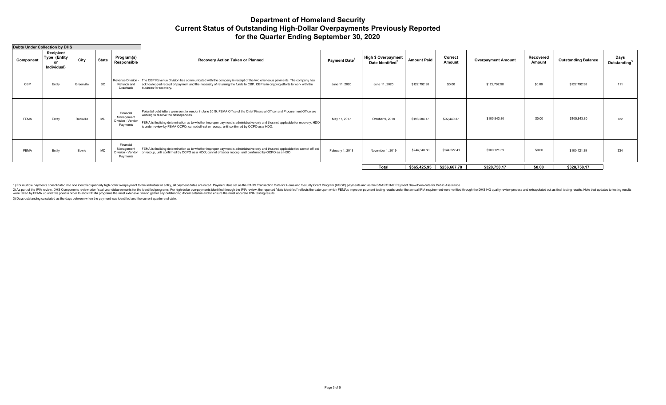## **Department of Homeland Security Current Status of Outstanding High-Dollar Overpayments Previously Reported for the Quarter Ending September 30, 2020**

|             | Debts Under Collection by DHS                          |            |              |                                                          |                                                                                                                                                                                                                                                                                                                                                                                                         |                           |                                                            |                    |                           |                           |                     |                            |                                  |
|-------------|--------------------------------------------------------|------------|--------------|----------------------------------------------------------|---------------------------------------------------------------------------------------------------------------------------------------------------------------------------------------------------------------------------------------------------------------------------------------------------------------------------------------------------------------------------------------------------------|---------------------------|------------------------------------------------------------|--------------------|---------------------------|---------------------------|---------------------|----------------------------|----------------------------------|
| Component   | Recipient<br><b>Type (Entity)</b><br>Ωr<br>Individual) | City       | <b>State</b> | Program(s)<br>Responsible                                | Recovery Action Taken or Planned                                                                                                                                                                                                                                                                                                                                                                        | Payment Date <sup>1</sup> | <b>High \$ Overpayment</b><br>Date Identified <sup>2</sup> | <b>Amount Paid</b> | Correct<br>Amount         | <b>Overpayment Amount</b> | Recovered<br>Amount | <b>Outstanding Balance</b> | Days<br>Outstanding <sup>3</sup> |
| CBP         | Entity                                                 | Greenville | SC           | Refunds and<br>Drawback                                  | Revenue Division -  The CBP Revenue Division has communicated with the company in receipt of the two erroneous payments. The company has<br>acknowledged receipt of payment and the necessity of returning the funds to CBP. CBP is in ongoing efforts to work with the<br>business for recovery.                                                                                                       | June 11, 2020             | June 11, 2020                                              | \$122,792.98       | \$0.00                    | \$122,792.98              | \$0.00              | \$122,792.98               | 111                              |
| <b>FEMA</b> | Entity                                                 | Rockville  | <b>MD</b>    | Financial<br>Management<br>Division - Vendor<br>Payments | Potential debt letters were sent to vendor in June 2019. FEMA Office of the Chief Financial Officer and Procurement Office are<br>working to resolve the descepancies.<br>FEMA is finalizing determination as to whether improper payment is administrative only and thus not applicable for recovery. HDO<br>is under review by FEMA OCPO; cannot off-set or recoup, until confirmed by OCPO as a HDO. | May 17, 2017              | October 9, 2018                                            | \$198,284.17       | \$92,440.37               | \$105,843.80              | \$0.00              | \$105,843.80               | 722                              |
| <b>FEMA</b> | Entity                                                 | Bowie      | <b>MD</b>    | Financial<br>Management<br>Division - Vendor<br>Payments | FEMA is finalizing determination as to whether improper payment is administrative only and thus not applicable for; cannot off-set<br>or recoup, until confirmed by OCPO as a HDO; cannot offset or recoup, until confirmed by OCPO as a HDO.                                                                                                                                                           | February 1, 2018          | November 1, 2019                                           | \$244,348.80       | \$144,227.41              | \$100,121.39              | \$0.00              | \$100,121.39               | 334                              |
|             |                                                        |            |              |                                                          |                                                                                                                                                                                                                                                                                                                                                                                                         |                           | Total                                                      |                    | \$565,425.95 \$236,667.78 | \$328.758.17              | \$0.00              | \$328,758.17               |                                  |

1) For multiple payments consolidated into one identified quarterly high dollar overpayment to the individual or entity, all payment dates are noted. Payment dates are noted. Payment dates set noted. Payment date set as th

3) Days outstanding calculated as the days between when the payment was identified and the current quarter end date.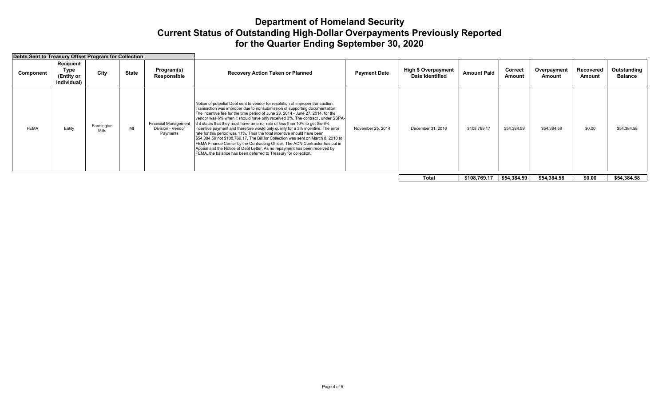# **Department of Homeland Security Current Status of Outstanding High-Dollar Overpayments Previously Reported for the Quarter Ending September 30, 2020**

| Debts Sent to Treasury Offset Program for Collection |                                                |                     |              |                                                              |                                                                                                                                                                                                                                                                                                                                                                                                                                                                                                                                                                                                                                                                                                                                                                                                                                                                                                          |                     |                                               |                    |                   |                       |                     |                               |
|------------------------------------------------------|------------------------------------------------|---------------------|--------------|--------------------------------------------------------------|----------------------------------------------------------------------------------------------------------------------------------------------------------------------------------------------------------------------------------------------------------------------------------------------------------------------------------------------------------------------------------------------------------------------------------------------------------------------------------------------------------------------------------------------------------------------------------------------------------------------------------------------------------------------------------------------------------------------------------------------------------------------------------------------------------------------------------------------------------------------------------------------------------|---------------------|-----------------------------------------------|--------------------|-------------------|-----------------------|---------------------|-------------------------------|
| Component                                            | Recipient<br>Type<br>(Entity or<br>Individual) | City                | <b>State</b> | Program(s)<br>Responsible                                    | <b>Recovery Action Taken or Planned</b>                                                                                                                                                                                                                                                                                                                                                                                                                                                                                                                                                                                                                                                                                                                                                                                                                                                                  | <b>Payment Date</b> | <b>High \$ Overpayment</b><br>Date Identified | <b>Amount Paid</b> | Correct<br>Amount | Overpayment<br>Amount | Recovered<br>Amount | Outstanding<br><b>Balance</b> |
| <b>FEMA</b>                                          | Entity                                         | Farmington<br>Mills | MI           | <b>Financial Management</b><br>Division - Vendor<br>Payments | Notice of potential Debt sent to vendor for resolution of improper transaction.<br>Transaction was improper due to nonsubmission of supporting documentation.<br>The incentive fee for the time period of June 23, 2014 - June 27, 2014, for the<br>vendor was 6% when it should have only received 3%. The contract, under SSPA-<br>3 it states that they must have an error rate of less than 10% to get the 6%<br>incentive payment and therefore would only qualify for a 3% incentive. The error<br>rate for this period was 11%. Thus the total incentive should have been<br>\$54,384.59 not \$108,769.17. The Bill for Collection was sent on March 8, 2018 to<br>FEMA Finance Center by the Contracting Officer. The AON Contractor has put in<br>Appeal and the Notice of Debt Letter. As no repayment has been received by<br>FEMA, the balance has been deferred to Treasury for collection. | November 25, 2014   | December 31, 2016                             | \$108,769.17       | \$54,384.59       | \$54,384.58           | \$0.00              | \$54,384.58                   |
|                                                      |                                                |                     |              |                                                              |                                                                                                                                                                                                                                                                                                                                                                                                                                                                                                                                                                                                                                                                                                                                                                                                                                                                                                          |                     | <b>Total</b>                                  | \$108,769.17       | \$54,384.59       | \$54,384.58           | \$0.00              | \$54,384.58                   |
|                                                      |                                                |                     |              |                                                              |                                                                                                                                                                                                                                                                                                                                                                                                                                                                                                                                                                                                                                                                                                                                                                                                                                                                                                          |                     |                                               |                    |                   |                       |                     |                               |